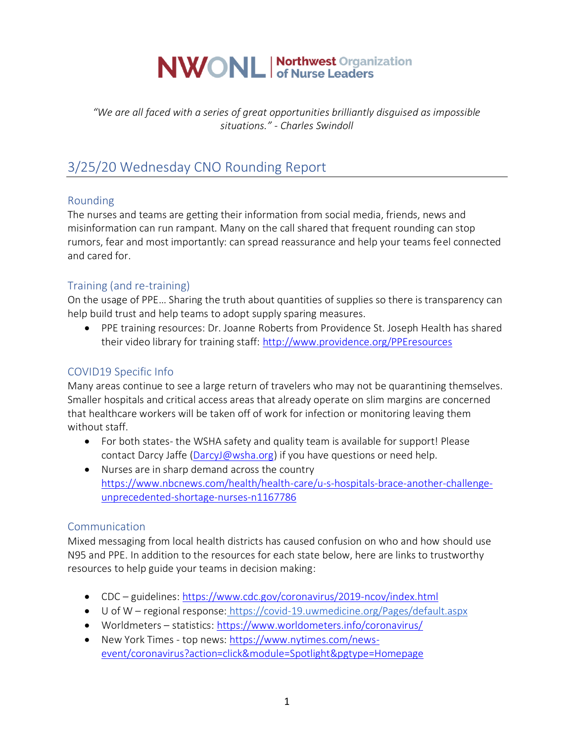# **NWONL Morthwest Organization**

*"We are all faced with a series of great opportunities brilliantly disguised as impossible situations." - Charles Swindoll*

# 3/25/20 Wednesday CNO Rounding Report

## Rounding

The nurses and teams are getting their information from social media, friends, news and misinformation can run rampant. Many on the call shared that frequent rounding can stop rumors, fear and most importantly: can spread reassurance and help your teams feel connected and cared for.

# Training (and re-training)

On the usage of PPE… Sharing the truth about quantities of supplies so there is transparency can help build trust and help teams to adopt supply sparing measures.

• PPE training resources: Dr. Joanne Roberts from Providence St. Joseph Health has shared their video library for training staff:<http://www.providence.org/PPEresources>

# COVID19 Specific Info

Many areas continue to see a large return of travelers who may not be quarantining themselves. Smaller hospitals and critical access areas that already operate on slim margins are concerned that healthcare workers will be taken off of work for infection or monitoring leaving them without staff.

- For both states- the WSHA safety and quality team is available for support! Please contact Darcy Jaffe [\(DarcyJ@wsha.org\)](mailto:DarcyJ@wsha.org) if you have questions or need help.
- Nurses are in sharp demand across the country [https://www.nbcnews.com/health/health-care/u-s-hospitals-brace-another-challenge](https://www.nbcnews.com/health/health-care/u-s-hospitals-brace-another-challenge-unprecedented-shortage-nurses-n1167786)[unprecedented-shortage-nurses-n1167786](https://www.nbcnews.com/health/health-care/u-s-hospitals-brace-another-challenge-unprecedented-shortage-nurses-n1167786)

## Communication

Mixed messaging from local health districts has caused confusion on who and how should use N95 and PPE. In addition to the resources for each state below, here are links to trustworthy resources to help guide your teams in decision making:

- CDC guidelines:<https://www.cdc.gov/coronavirus/2019-ncov/index.html>
- U of W regional response: https://covid-19.uwmedicine.org/Pages/default.aspx
- Worldmeters statistics:<https://www.worldometers.info/coronavirus/>
- New York Times top news[: https://www.nytimes.com/news](https://www.nytimes.com/news-event/coronavirus?action=click&module=Spotlight&pgtype=Homepage)[event/coronavirus?action=click&module=Spotlight&pgtype=Homepage](https://www.nytimes.com/news-event/coronavirus?action=click&module=Spotlight&pgtype=Homepage)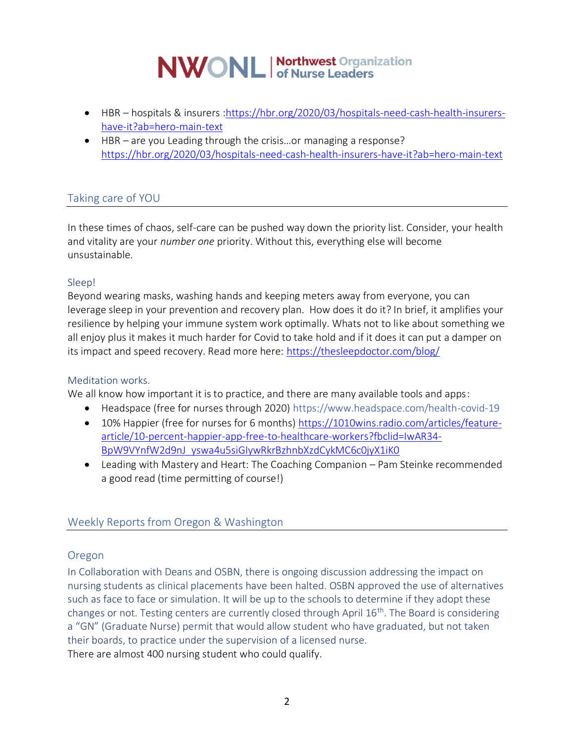# **NWONL** | Northwest Organization

- HBR hospitals & insurers [:https://hbr.org/2020/03/hospitals-need-cash-health-insurers](https://hbr.org/2020/03/hospitals-need-cash-health-insurers-have-it?ab=hero-main-text)[have-it?ab=hero-main-text](https://hbr.org/2020/03/hospitals-need-cash-health-insurers-have-it?ab=hero-main-text)
- HBR are you Leading through the crisis…or managing a response? <https://hbr.org/2020/03/hospitals-need-cash-health-insurers-have-it?ab=hero-main-text>

# Taking care of YOU

In these times of chaos, self-care can be pushed way down the priority list. Consider, your health and vitality are your *number one* priority. Without this, everything else will become unsustainable.

#### Sleep!

Beyond wearing masks, washing hands and keeping meters away from everyone, you can leverage sleep in your prevention and recovery plan. How does it do it? In brief, it amplifies your resilience by helping your immune system work optimally. Whats not to like about something we all enjoy plus it makes it much harder for Covid to take hold and if it does it can put a damper on its impact and speed recovery. Read more here:<https://thesleepdoctor.com/blog/>

#### Meditation works.

We all know how important it is to practice, and there are many available tools and apps:

- Headspace (free for nurses through 2020) https://www.headspace.com/health-covid-19
- 10% Happier (free for nurses for 6 months) [https://1010wins.radio.com/articles/feature](https://1010wins.radio.com/articles/feature-article/10-percent-happier-app-free-to-healthcare-workers?fbclid=IwAR34-BpW9VYnfW2d9nJ_yswa4u5siGIywRkrBzhnbXzdCykMC6c0jyX1iK0)[article/10-percent-happier-app-free-to-healthcare-workers?fbclid=IwAR34-](https://1010wins.radio.com/articles/feature-article/10-percent-happier-app-free-to-healthcare-workers?fbclid=IwAR34-BpW9VYnfW2d9nJ_yswa4u5siGIywRkrBzhnbXzdCykMC6c0jyX1iK0) [BpW9VYnfW2d9nJ\\_yswa4u5siGIywRkrBzhnbXzdCykMC6c0jyX1iK0](https://1010wins.radio.com/articles/feature-article/10-percent-happier-app-free-to-healthcare-workers?fbclid=IwAR34-BpW9VYnfW2d9nJ_yswa4u5siGIywRkrBzhnbXzdCykMC6c0jyX1iK0)
- Leading with Mastery and Heart: The Coaching Companion Pam Steinke recommended a good read (time permitting of course!)

## Weekly Reports from Oregon & Washington

#### Oregon

In Collaboration with Deans and OSBN, there is ongoing discussion addressing the impact on nursing students as clinical placements have been halted. OSBN approved the use of alternatives such as face to face or simulation. It will be up to the schools to determine if they adopt these changes or not. Testing centers are currently closed through April 16th. The Board is considering a "GN" (Graduate Nurse) permit that would allow student who have graduated, but not taken their boards, to practice under the supervision of a licensed nurse. There are almost 400 nursing student who could qualify.